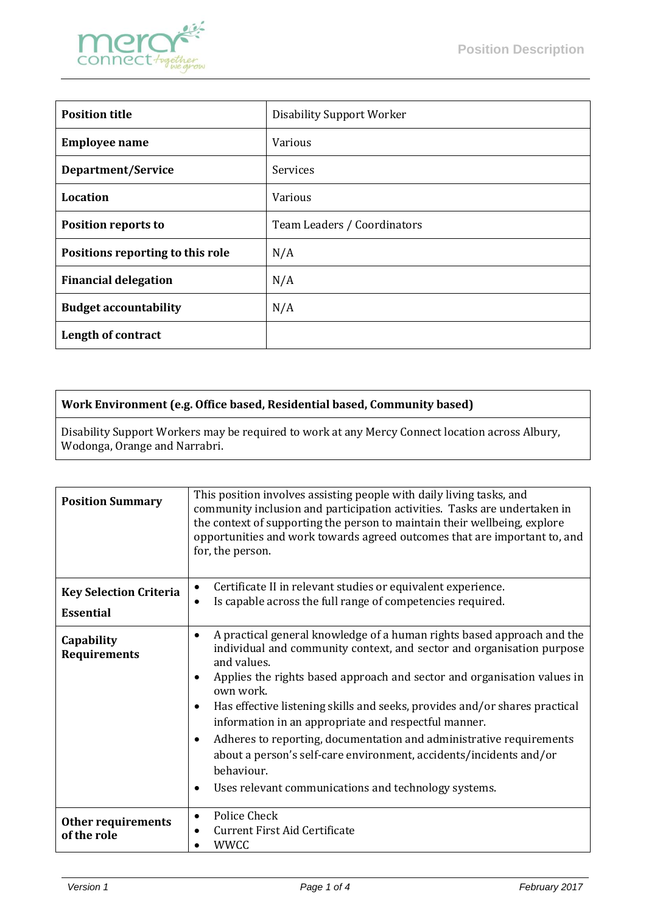

| <b>Position title</b>            | <b>Disability Support Worker</b> |
|----------------------------------|----------------------------------|
| <b>Employee name</b>             | <b>Various</b>                   |
| Department/Service               | Services                         |
| <b>Location</b>                  | <b>Various</b>                   |
| <b>Position reports to</b>       | Team Leaders / Coordinators      |
| Positions reporting to this role | N/A                              |
| <b>Financial delegation</b>      | N/A                              |
| <b>Budget accountability</b>     | N/A                              |
| Length of contract               |                                  |

## **Work Environment (e.g. Office based, Residential based, Community based)**

Disability Support Workers may be required to work at any Mercy Connect location across Albury, Wodonga, Orange and Narrabri.

| <b>Position Summary</b>                           | This position involves assisting people with daily living tasks, and<br>community inclusion and participation activities. Tasks are undertaken in<br>the context of supporting the person to maintain their wellbeing, explore<br>opportunities and work towards agreed outcomes that are important to, and<br>for, the person.                                                                                                                                                                                                                                                                                                                |  |
|---------------------------------------------------|------------------------------------------------------------------------------------------------------------------------------------------------------------------------------------------------------------------------------------------------------------------------------------------------------------------------------------------------------------------------------------------------------------------------------------------------------------------------------------------------------------------------------------------------------------------------------------------------------------------------------------------------|--|
| <b>Key Selection Criteria</b><br><b>Essential</b> | Certificate II in relevant studies or equivalent experience.<br>$\bullet$<br>Is capable across the full range of competencies required.                                                                                                                                                                                                                                                                                                                                                                                                                                                                                                        |  |
| Capability<br><b>Requirements</b>                 | A practical general knowledge of a human rights based approach and the<br>٠<br>individual and community context, and sector and organisation purpose<br>and values.<br>Applies the rights based approach and sector and organisation values in<br>own work.<br>Has effective listening skills and seeks, provides and/or shares practical<br>$\bullet$<br>information in an appropriate and respectful manner.<br>Adheres to reporting, documentation and administrative requirements<br>$\bullet$<br>about a person's self-care environment, accidents/incidents and/or<br>behaviour.<br>Uses relevant communications and technology systems. |  |
| Other requirements<br>of the role                 | Police Check<br>٠<br><b>Current First Aid Certificate</b><br><b>WWCC</b>                                                                                                                                                                                                                                                                                                                                                                                                                                                                                                                                                                       |  |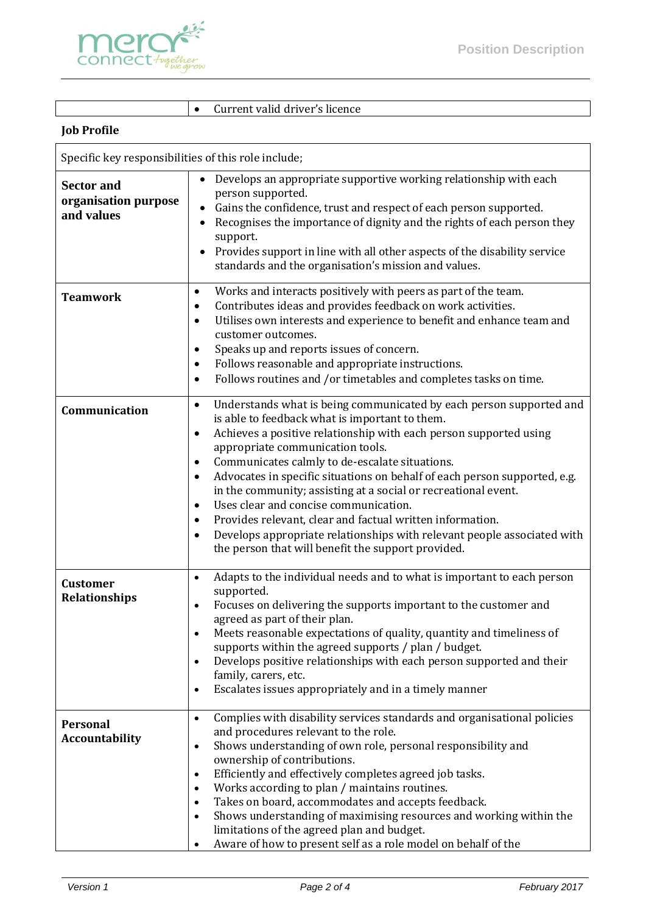

• Current valid driver's licence

## **Job Profile**

| Specific key responsibilities of this role include;     |                                                                                                                                                                                                                                                                                                                                                                                                                                                                                                                                                                                                                                                                                                                                           |  |
|---------------------------------------------------------|-------------------------------------------------------------------------------------------------------------------------------------------------------------------------------------------------------------------------------------------------------------------------------------------------------------------------------------------------------------------------------------------------------------------------------------------------------------------------------------------------------------------------------------------------------------------------------------------------------------------------------------------------------------------------------------------------------------------------------------------|--|
| <b>Sector and</b><br>organisation purpose<br>and values | Develops an appropriate supportive working relationship with each<br>person supported.<br>Gains the confidence, trust and respect of each person supported.<br>Recognises the importance of dignity and the rights of each person they<br>٠<br>support.<br>Provides support in line with all other aspects of the disability service<br>$\bullet$<br>standards and the organisation's mission and values.                                                                                                                                                                                                                                                                                                                                 |  |
| <b>Teamwork</b>                                         | Works and interacts positively with peers as part of the team.<br>$\bullet$<br>Contributes ideas and provides feedback on work activities.<br>$\bullet$<br>Utilises own interests and experience to benefit and enhance team and<br>$\bullet$<br>customer outcomes.<br>Speaks up and reports issues of concern.<br>٠<br>Follows reasonable and appropriate instructions.<br>٠<br>Follows routines and /or timetables and completes tasks on time.<br>$\bullet$                                                                                                                                                                                                                                                                            |  |
| Communication                                           | Understands what is being communicated by each person supported and<br>$\bullet$<br>is able to feedback what is important to them.<br>Achieves a positive relationship with each person supported using<br>$\bullet$<br>appropriate communication tools.<br>Communicates calmly to de-escalate situations.<br>٠<br>Advocates in specific situations on behalf of each person supported, e.g.<br>$\bullet$<br>in the community; assisting at a social or recreational event.<br>Uses clear and concise communication.<br>٠<br>Provides relevant, clear and factual written information.<br>٠<br>Develops appropriate relationships with relevant people associated with<br>$\bullet$<br>the person that will benefit the support provided. |  |
| <b>Customer</b><br><b>Relationships</b>                 | Adapts to the individual needs and to what is important to each person<br>$\bullet$<br>supported.<br>Focuses on delivering the supports important to the customer and<br>$\bullet$<br>agreed as part of their plan.<br>Meets reasonable expectations of quality, quantity and timeliness of<br>supports within the agreed supports / plan / budget.<br>Develops positive relationships with each person supported and their<br>$\bullet$<br>family, carers, etc.<br>Escalates issues appropriately and in a timely manner<br>$\bullet$                                                                                                                                                                                                    |  |
| <b>Personal</b><br><b>Accountability</b>                | Complies with disability services standards and organisational policies<br>$\bullet$<br>and procedures relevant to the role.<br>Shows understanding of own role, personal responsibility and<br>$\bullet$<br>ownership of contributions.<br>Efficiently and effectively completes agreed job tasks.<br>$\bullet$<br>Works according to plan / maintains routines.<br>$\bullet$<br>Takes on board, accommodates and accepts feedback.<br>$\bullet$<br>Shows understanding of maximising resources and working within the<br>$\bullet$<br>limitations of the agreed plan and budget.<br>Aware of how to present self as a role model on behalf of the                                                                                       |  |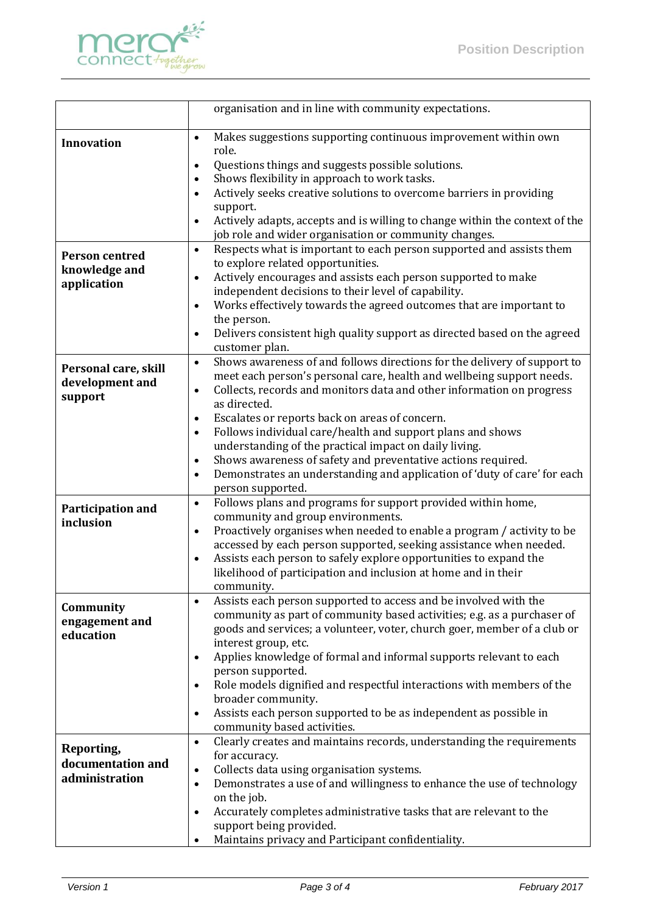

|                                | organisation and in line with community expectations.                                                                                                    |
|--------------------------------|----------------------------------------------------------------------------------------------------------------------------------------------------------|
|                                |                                                                                                                                                          |
| <b>Innovation</b>              | Makes suggestions supporting continuous improvement within own<br>$\bullet$                                                                              |
|                                | role.                                                                                                                                                    |
|                                | Questions things and suggests possible solutions.<br>$\bullet$<br>Shows flexibility in approach to work tasks.<br>$\bullet$                              |
|                                | Actively seeks creative solutions to overcome barriers in providing<br>$\bullet$                                                                         |
|                                | support.                                                                                                                                                 |
|                                | Actively adapts, accepts and is willing to change within the context of the<br>$\bullet$                                                                 |
|                                | job role and wider organisation or community changes.                                                                                                    |
|                                | Respects what is important to each person supported and assists them<br>$\bullet$                                                                        |
| <b>Person centred</b>          | to explore related opportunities.                                                                                                                        |
| knowledge and                  | Actively encourages and assists each person supported to make<br>$\bullet$                                                                               |
| application                    | independent decisions to their level of capability.                                                                                                      |
|                                | Works effectively towards the agreed outcomes that are important to<br>$\bullet$                                                                         |
|                                | the person.                                                                                                                                              |
|                                | Delivers consistent high quality support as directed based on the agreed<br>$\bullet$                                                                    |
|                                | customer plan.                                                                                                                                           |
| Personal care, skill           | Shows awareness of and follows directions for the delivery of support to<br>$\bullet$                                                                    |
| development and                | meet each person's personal care, health and wellbeing support needs.                                                                                    |
| support                        | Collects, records and monitors data and other information on progress<br>$\bullet$<br>as directed.                                                       |
|                                | Escalates or reports back on areas of concern.<br>$\bullet$                                                                                              |
|                                | Follows individual care/health and support plans and shows<br>$\bullet$                                                                                  |
|                                | understanding of the practical impact on daily living.                                                                                                   |
|                                | Shows awareness of safety and preventative actions required.<br>$\bullet$                                                                                |
|                                | Demonstrates an understanding and application of 'duty of care' for each<br>$\bullet$                                                                    |
|                                | person supported.                                                                                                                                        |
|                                | Follows plans and programs for support provided within home,<br>$\bullet$                                                                                |
| Participation and<br>inclusion | community and group environments.                                                                                                                        |
|                                | Proactively organises when needed to enable a program / activity to be<br>$\bullet$                                                                      |
|                                | accessed by each person supported, seeking assistance when needed.                                                                                       |
|                                | Assists each person to safely explore opportunities to expand the<br>$\bullet$                                                                           |
|                                | likelihood of participation and inclusion at home and in their                                                                                           |
|                                | community.                                                                                                                                               |
| Community                      | Assists each person supported to access and be involved with the<br>$\bullet$<br>community as part of community based activities; e.g. as a purchaser of |
| engagement and                 | goods and services; a volunteer, voter, church goer, member of a club or                                                                                 |
| education                      | interest group, etc.                                                                                                                                     |
|                                | Applies knowledge of formal and informal supports relevant to each<br>$\bullet$                                                                          |
|                                | person supported.                                                                                                                                        |
|                                | Role models dignified and respectful interactions with members of the<br>$\bullet$                                                                       |
|                                | broader community.                                                                                                                                       |
|                                | Assists each person supported to be as independent as possible in<br>٠                                                                                   |
|                                | community based activities.                                                                                                                              |
| Reporting,                     | Clearly creates and maintains records, understanding the requirements<br>$\bullet$                                                                       |
| documentation and              | for accuracy.                                                                                                                                            |
| administration                 | Collects data using organisation systems.<br>$\bullet$                                                                                                   |
|                                | Demonstrates a use of and willingness to enhance the use of technology<br>$\bullet$                                                                      |
|                                | on the job.                                                                                                                                              |
|                                | Accurately completes administrative tasks that are relevant to the<br>$\bullet$<br>support being provided.                                               |
|                                | Maintains privacy and Participant confidentiality.                                                                                                       |
|                                |                                                                                                                                                          |